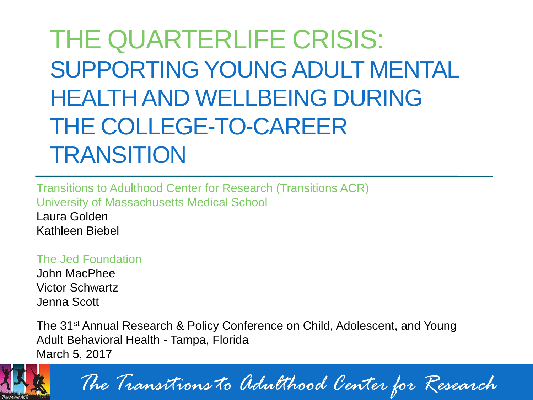THE QUARTERLIFE CRISIS: SUPPORTING YOUNG ADULT MENTAL HEALTH AND WELLBEING DURING THE COLLEGE-TO-CAREER **TRANSITION** 

Transitions to Adulthood Center for Research (Transitions ACR) University of Massachusetts Medical School Laura Golden Kathleen Biebel

#### The Jed Foundation

John MacPhee Victor Schwartz Jenna Scott

The 31<sup>st</sup> Annual Research & Policy Conference on Child, Adolescent, and Young Adult Behavioral Health - Tampa, Florida March 5, 2017



*The Transitions to Adulthood Center for Research*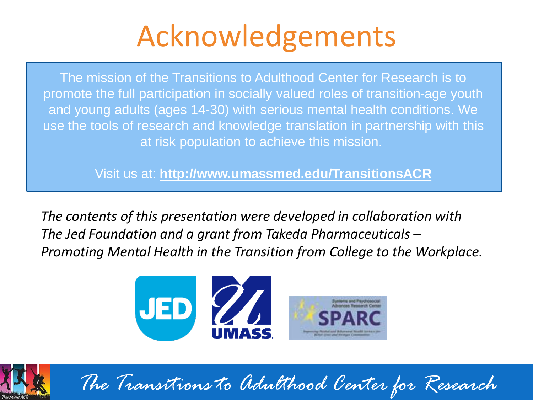## Acknowledgements

The mission of the Transitions to Adulthood Center for Research is to promote the full participation in socially valued roles of transition-age youth and young adults (ages 14-30) with serious mental health conditions. We use the tools of research and knowledge translation in partnership with this at risk population to achieve this mission.

Visit us at: **http://www.umassmed.edu/TransitionsACR**

*The contents of this presentation were developed in collaboration with The Jed Foundation and a grant from Takeda Pharmaceuticals – Promoting Mental Health in the Transition from College to the Workplace.*





*The Transitions to Adulthood Center for Research*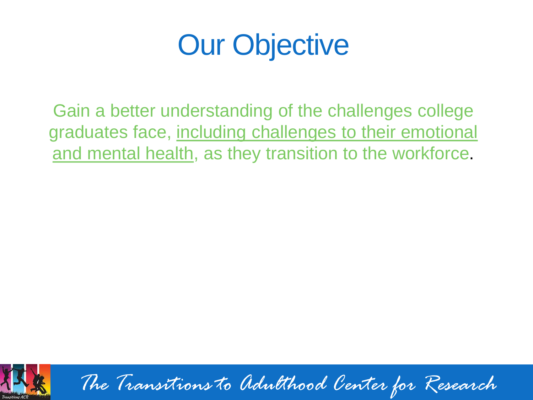## Our Objective

Gain a better understanding of the challenges college graduates face, including challenges to their emotional and mental health, as they transition to the workforce.



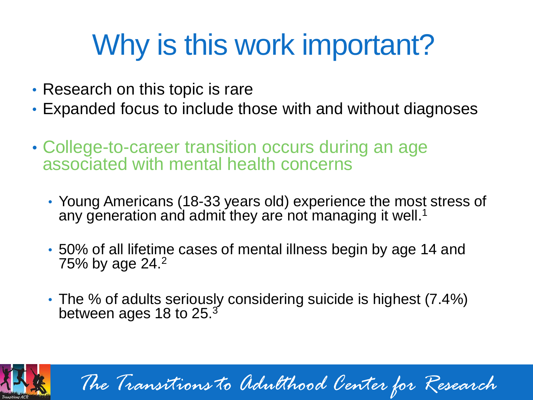## Why is this work important?

- Research on this topic is rare
- Expanded focus to include those with and without diagnoses
- College-to-career transition occurs during an age associated with mental health concerns
	- Young Americans (18-33 years old) experience the most stress of any generation and admit they are not managing it well.<sup>1</sup>
	- 50% of all lifetime cases of mental illness begin by age 14 and 75% by age 24.<sup>2</sup>
	- The % of adults seriously considering suicide is highest (7.4%) between ages 18 to 25. $^{\rm 3}$



*The Transitions to Adulthood Center for Research*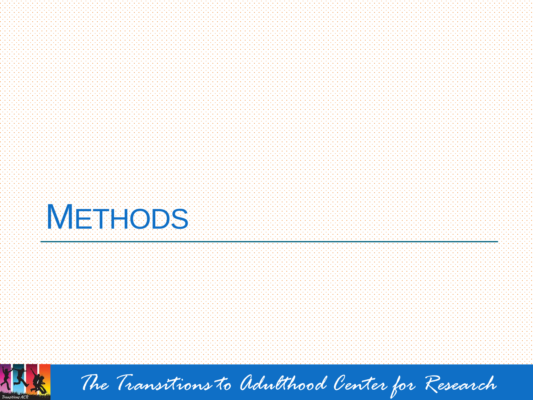



*The Transitions to Adulthood Center for Research*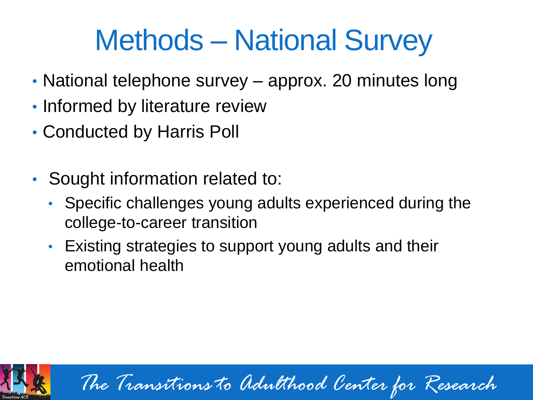## Methods – National Survey

- National telephone survey approx. 20 minutes long
- Informed by literature review
- Conducted by Harris Poll
- Sought information related to:
	- Specific challenges young adults experienced during the college-to-career transition
	- Existing strategies to support young adults and their emotional health



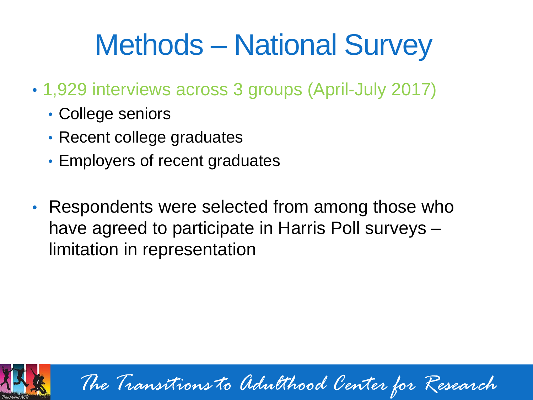## Methods – National Survey

- 1,929 interviews across 3 groups (April-July 2017)
	- College seniors
	- Recent college graduates
	- Employers of recent graduates
- Respondents were selected from among those who have agreed to participate in Harris Poll surveys – limitation in representation



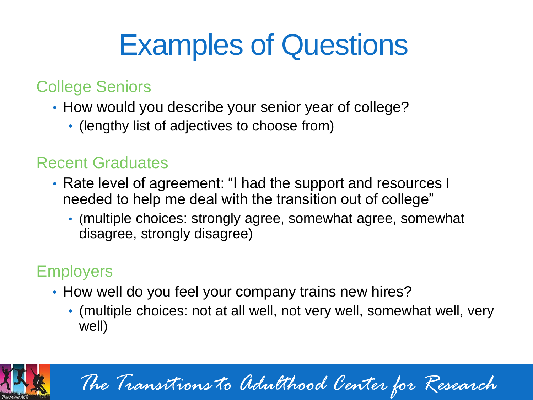## Examples of Questions

#### College Seniors

- How would you describe your senior year of college?
	- (lengthy list of adjectives to choose from)

#### Recent Graduates

- Rate level of agreement: "I had the support and resources I needed to help me deal with the transition out of college"
	- (multiple choices: strongly agree, somewhat agree, somewhat disagree, strongly disagree)

#### **Employers**

- How well do you feel your company trains new hires?
	- (multiple choices: not at all well, not very well, somewhat well, very well)



*The Transitions to Adulthood Center for Research*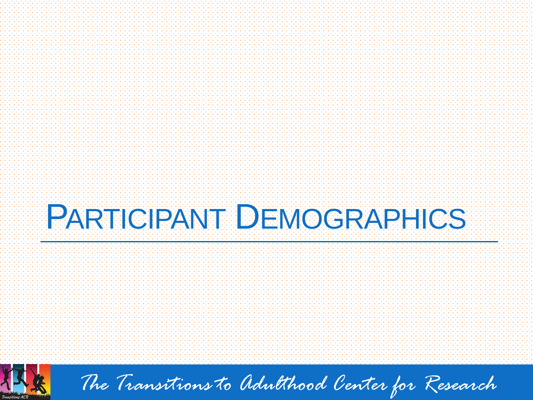# PARTICIPANT DEMOGRAPHICS



*The Transitions to Adulthood Center for Research*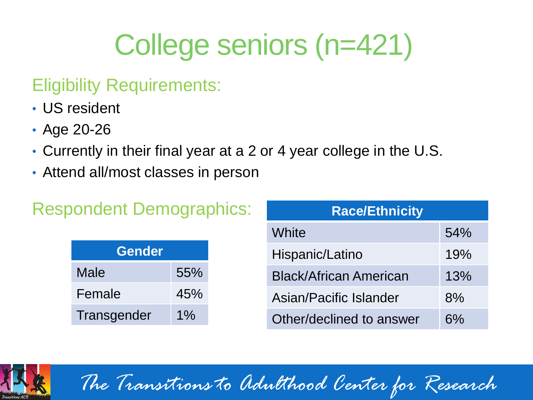## College seniors (n=421)

#### Eligibility Requirements:

- US resident
- Age 20-26
- Currently in their final year at a 2 or 4 year college in the U.S.
- Attend all/most classes in person

#### Respondent Demographics:

| <b>Gender</b> |       |  |
|---------------|-------|--|
| Male          | 55%   |  |
| Female        | 45%   |  |
| Transgender   | $1\%$ |  |

| <b>Race/Ethnicity</b>         |     |  |
|-------------------------------|-----|--|
| White                         | 54% |  |
| Hispanic/Latino               | 19% |  |
| <b>Black/African American</b> | 13% |  |
| Asian/Pacific Islander        | 8%  |  |
| Other/declined to answer      | 6%  |  |

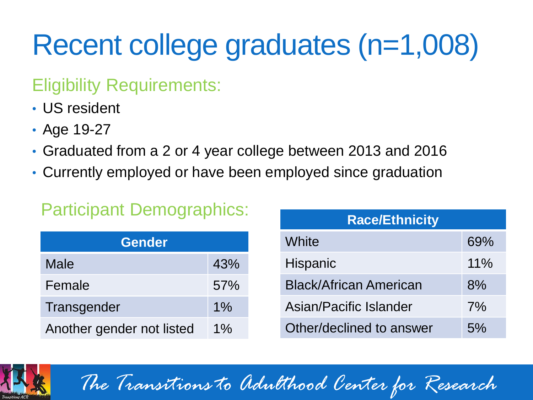## Recent college graduates (n=1,008)

#### Eligibility Requirements:

- US resident
- Age 19-27
- Graduated from a 2 or 4 year college between 2013 and 2016
- Currently employed or have been employed since graduation

#### Participant Demographics:

| <b>Gender</b>             |       |  |
|---------------------------|-------|--|
| Male                      | 43%   |  |
| Female                    | 57%   |  |
| Transgender               | $1\%$ |  |
| Another gender not listed | $1\%$ |  |

| <b>Race/Ethnicity</b>         |     |  |
|-------------------------------|-----|--|
| White                         | 69% |  |
| <b>Hispanic</b>               | 11% |  |
| <b>Black/African American</b> | 8%  |  |
| Asian/Pacific Islander        | 7%  |  |
| Other/declined to answer      | 5%  |  |

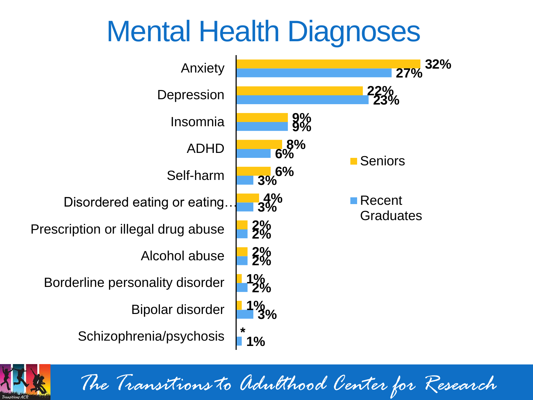## Mental Health Diagnoses



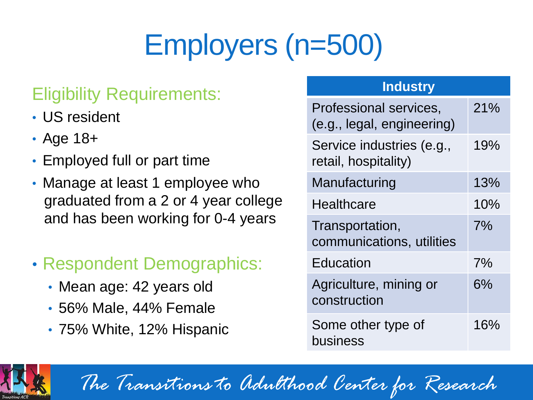## Employers (n=500)

#### Eligibility Requirements:

- US resident
- Age 18+
- Employed full or part time
- Manage at least 1 employee who graduated from a 2 or 4 year college and has been working for 0-4 years
- Respondent Demographics:
	- Mean age: 42 years old
	- 56% Male, 44% Female
	- 75% White, 12% Hispanic

#### **Industry**

| Professional services,<br>(e.g., legal, engineering) | 21%   |
|------------------------------------------------------|-------|
| Service industries (e.g.,<br>retail, hospitality)    | 19%   |
| Manufacturing                                        | 13%   |
| Healthcare                                           | 10%   |
| Transportation,<br>communications, utilities         | 7%    |
| Education                                            | 7%    |
| Agriculture, mining or<br>construction               | $6\%$ |
| Some other type of<br>business                       | 16%   |

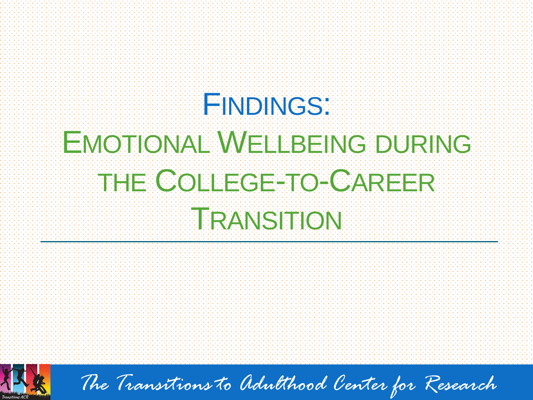# **FINDINGS:** EMOTIONAL WELBEING DURING THE COLLEGE-TO-CAREER TRANSITION



*The Transitions to Adulthood Center for Research*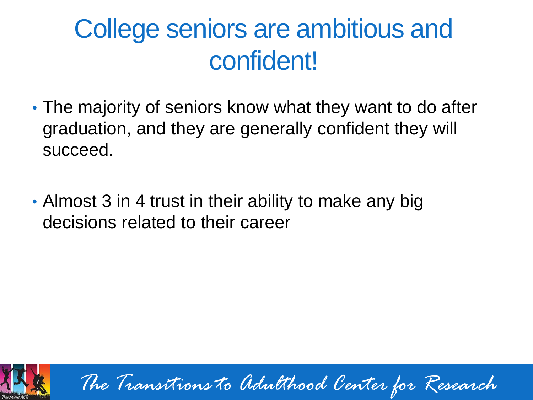### College seniors are ambitious and confident!

- The majority of seniors know what they want to do after graduation, and they are generally confident they will succeed.
- Almost 3 in 4 trust in their ability to make any big decisions related to their career



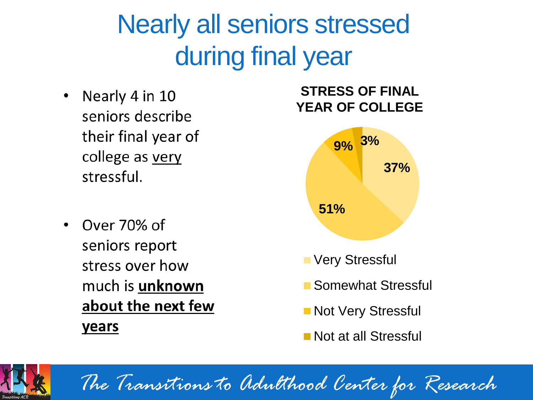### Nearly all seniors stressed during final year

- Nearly 4 in 10 seniors describe their final year of college as very stressful.
- Over 70% of seniors report stress over how much is **unknown** about the next few **years**

#### **STRESS OF FINAL YEAR OF COLLEGE**



- **Nery Stressful**
- Somewhat Stressful
- **Not Very Stressful**
- Not at all Stressful

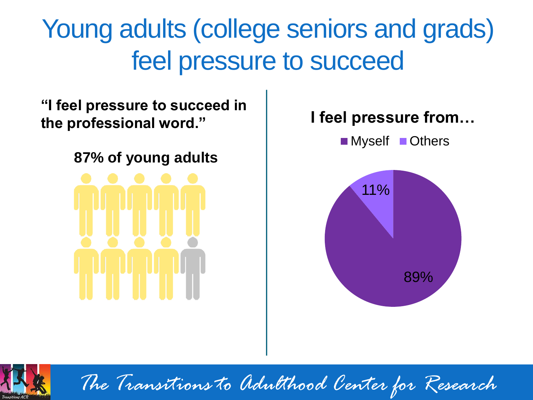### Young adults (college seniors and grads) feel pressure to succeed

**"I feel pressure to succeed in the professional word."**

**87% of young adults**







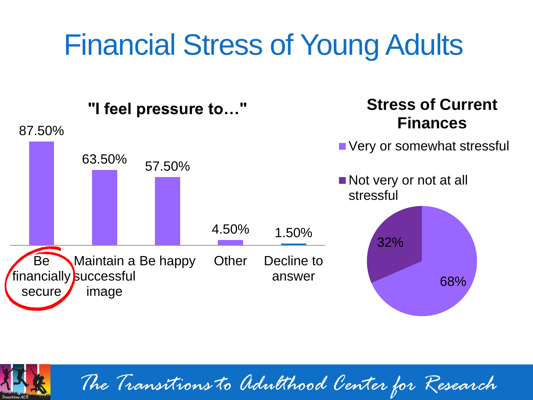## Financial Stress of Young Adults



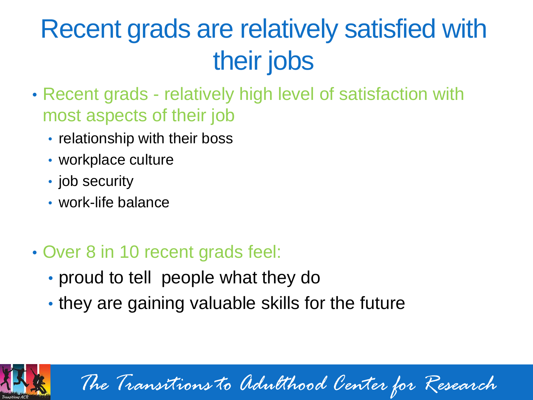### Recent grads are relatively satisfied with their jobs

- Recent grads relatively high level of satisfaction with most aspects of their job
	- relationship with their boss
	- workplace culture
	- job security
	- work-life balance
- Over 8 in 10 recent grads feel:
	- proud to tell people what they do
	- they are gaining valuable skills for the future



*The Transitions to Adulthood Center for Research*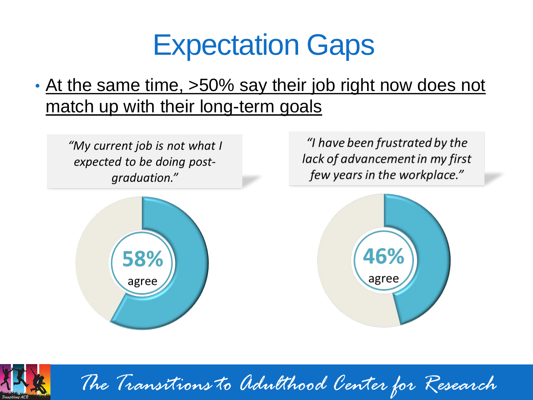## Expectation Gaps

#### • At the same time, >50% say their job right now does not match up with their long-term goals

"My current job is not what I expected to be doing postgraduation."



"I have been frustrated by the lack of advancement in my first few years in the workplace."





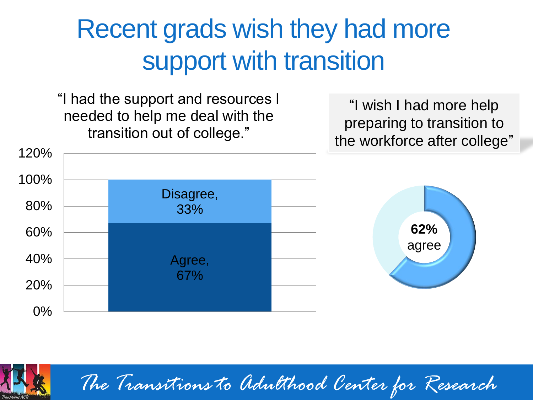### Recent grads wish they had more support with transition

"I had the support and resources I needed to help me deal with the transition out of college."

"I wish I had more help preparing to transition to the workforce after college"



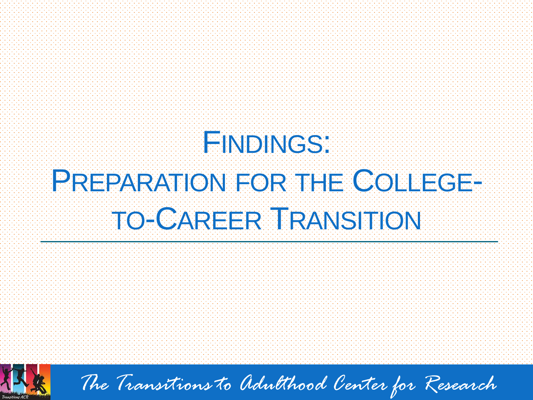# **FINDINGS:** PREPARATION FOR THE COLLEGE-TO-CAREER TRANSITION



*The Transitions to Adulthood Center for Research*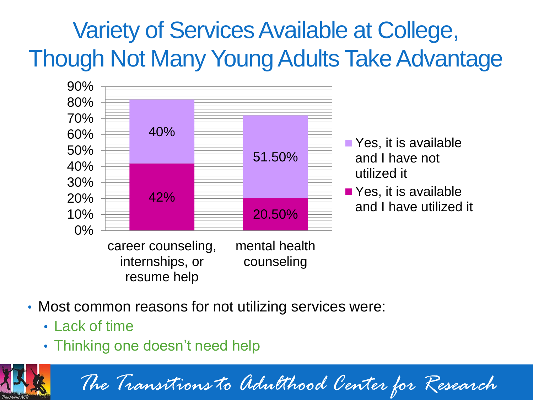#### Variety of Services Available at College, Though Not Many Young Adults Take Advantage



- Most common reasons for not utilizing services were:
	- Lack of time
	- Thinking one doesn't need help

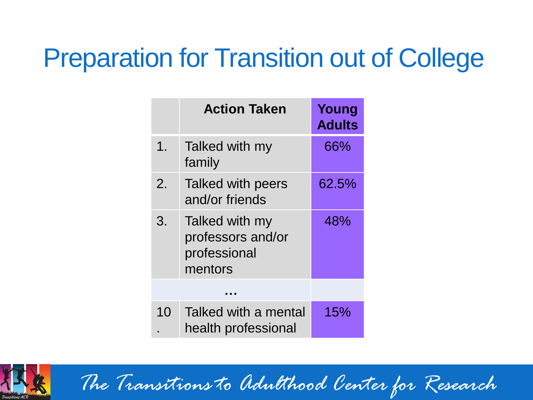### Preparation for Transition out of College

|                | <b>Action Taken</b>                                            | Young<br><b>Adults</b> |
|----------------|----------------------------------------------------------------|------------------------|
| 1 <sub>1</sub> | Talked with my<br>family                                       | 66%                    |
| $2_{\cdot}$    | Talked with peers<br>and/or friends                            | 62.5%                  |
| 3.             | Talked with my<br>professors and/or<br>professional<br>mentors | 48%                    |
|                |                                                                |                        |
| 10             | Talked with a mental<br>health professional                    | 15%                    |

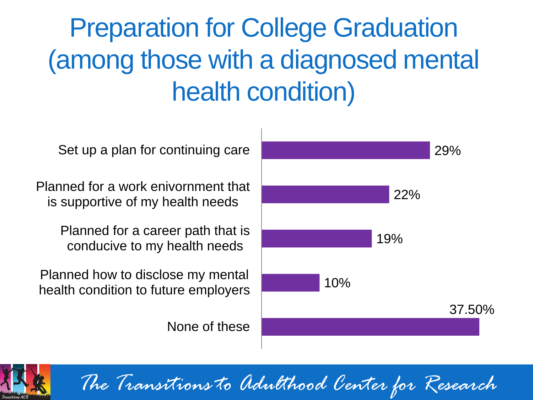### Preparation for College Graduation (among those with a diagnosed mental health condition)

Set up a plan for continuing care

Planned for a work enivornment that is supportive of my health needs

> Planned for a career path that is conducive to my health needs

Planned how to disclose my mental health condition to future employers

None of these



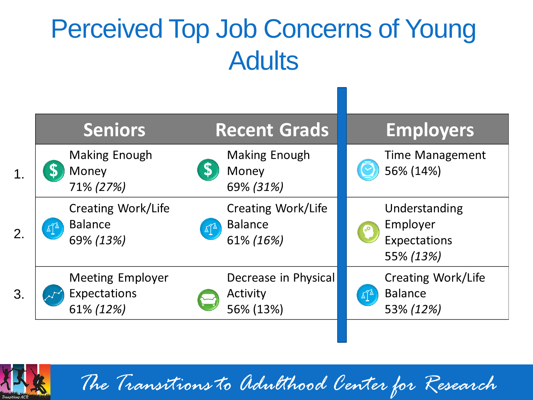### Perceived Top Job Concerns of Young **Adults**

|                  | <b>Seniors</b>                                                                    | <b>Recent Grads</b>                                                                   | <b>Employers</b>                                       |
|------------------|-----------------------------------------------------------------------------------|---------------------------------------------------------------------------------------|--------------------------------------------------------|
| 1 <sub>1</sub>   | Making Enough<br>Money<br>71% (27%)                                               | <b>Making Enough</b><br>Money<br>69% (31%)                                            | <b>Time Management</b><br>56% (14%)                    |
| $\overline{2}$ . | <b>Creating Work/Life</b><br><b>Balance</b><br>$\Delta^{\mathbb{A}}$<br>69% (13%) | <b>Creating Work/Life</b><br><b>Balance</b><br>$\Delta \hat{I}^{\Delta}$<br>61% (16%) | Understanding<br>Employer<br>Expectations<br>55% (13%) |
| 3.               | <b>Meeting Employer</b><br>Expectations<br>61% (12%)                              | Decrease in Physical<br>Activity<br>56% (13%)                                         | Creating Work/Life<br><b>Balance</b><br>ᡌ<br>53% (12%) |
|                  |                                                                                   |                                                                                       |                                                        |

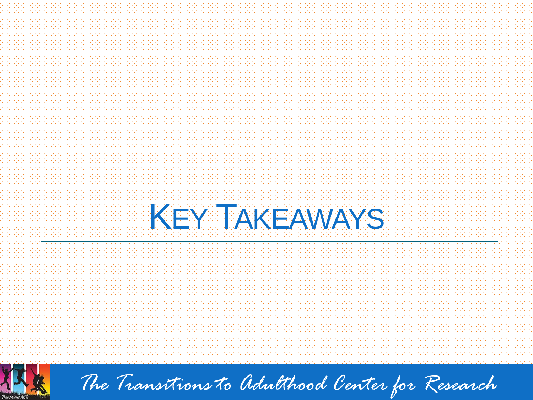



*The Transitions to Adulthood Center for Research*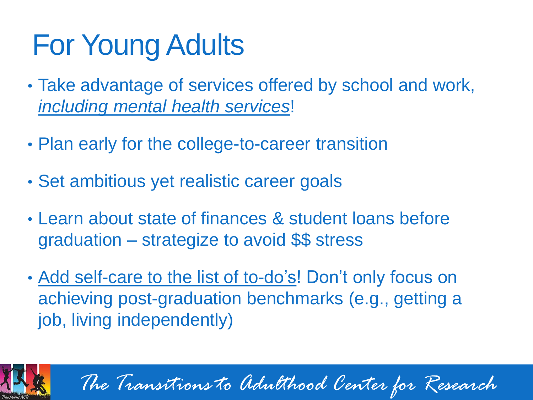## For Young Adults

- Take advantage of services offered by school and work, *including mental health services*!
- Plan early for the college-to-career transition
- Set ambitious yet realistic career goals
- Learn about state of finances & student loans before graduation – strategize to avoid \$\$ stress
- Add self-care to the list of to-do's! Don't only focus on achieving post-graduation benchmarks (e.g., getting a job, living independently)



*The Transitions to Adulthood Center for Research*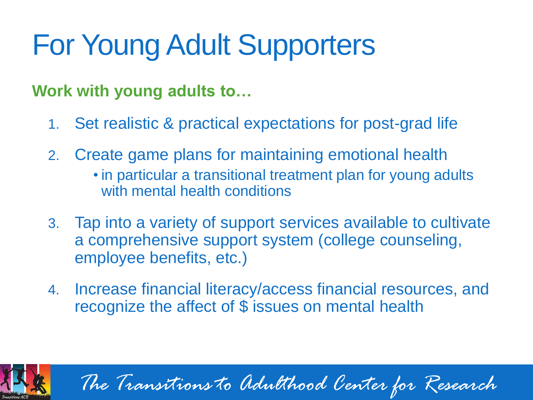## For Young Adult Supporters

#### **Work with young adults to…**

- 1. Set realistic & practical expectations for post-grad life
- 2. Create game plans for maintaining emotional health
	- in particular a transitional treatment plan for young adults with mental health conditions
- 3. Tap into a variety of support services available to cultivate a comprehensive support system (college counseling, employee benefits, etc.)
- 4. Increase financial literacy/access financial resources, and recognize the affect of \$ issues on mental health



*The Transitions to Adulthood Center for Research*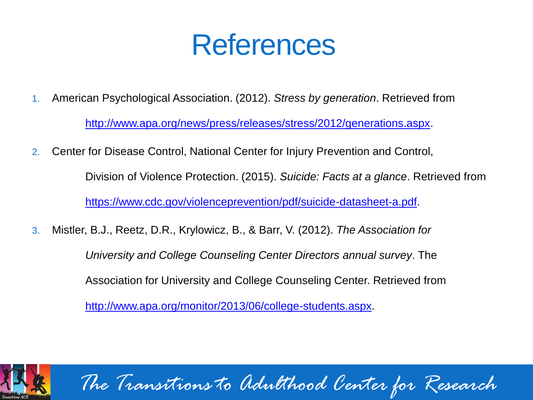### References

- 1. American Psychological Association. (2012). *Stress by generation*. Retrieved from <http://www.apa.org/news/press/releases/stress/2012/generations.aspx>.
- 2. Center for Disease Control, National Center for Injury Prevention and Control, Division of Violence Protection. (2015). *Suicide: Facts at a glance*. Retrieved from

[https://www.cdc.gov/violenceprevention/pdf/suicide-datasheet-a.pdf.](https://www.cdc.gov/violenceprevention/pdf/suicide-datasheet-a.pdf)

3. Mistler, B.J., Reetz, D.R., Krylowicz, B., & Barr, V. (2012). *The Association for University and College Counseling Center Directors annual survey*. The Association for University and College Counseling Center. Retrieved from <http://www.apa.org/monitor/2013/06/college-students.aspx>.